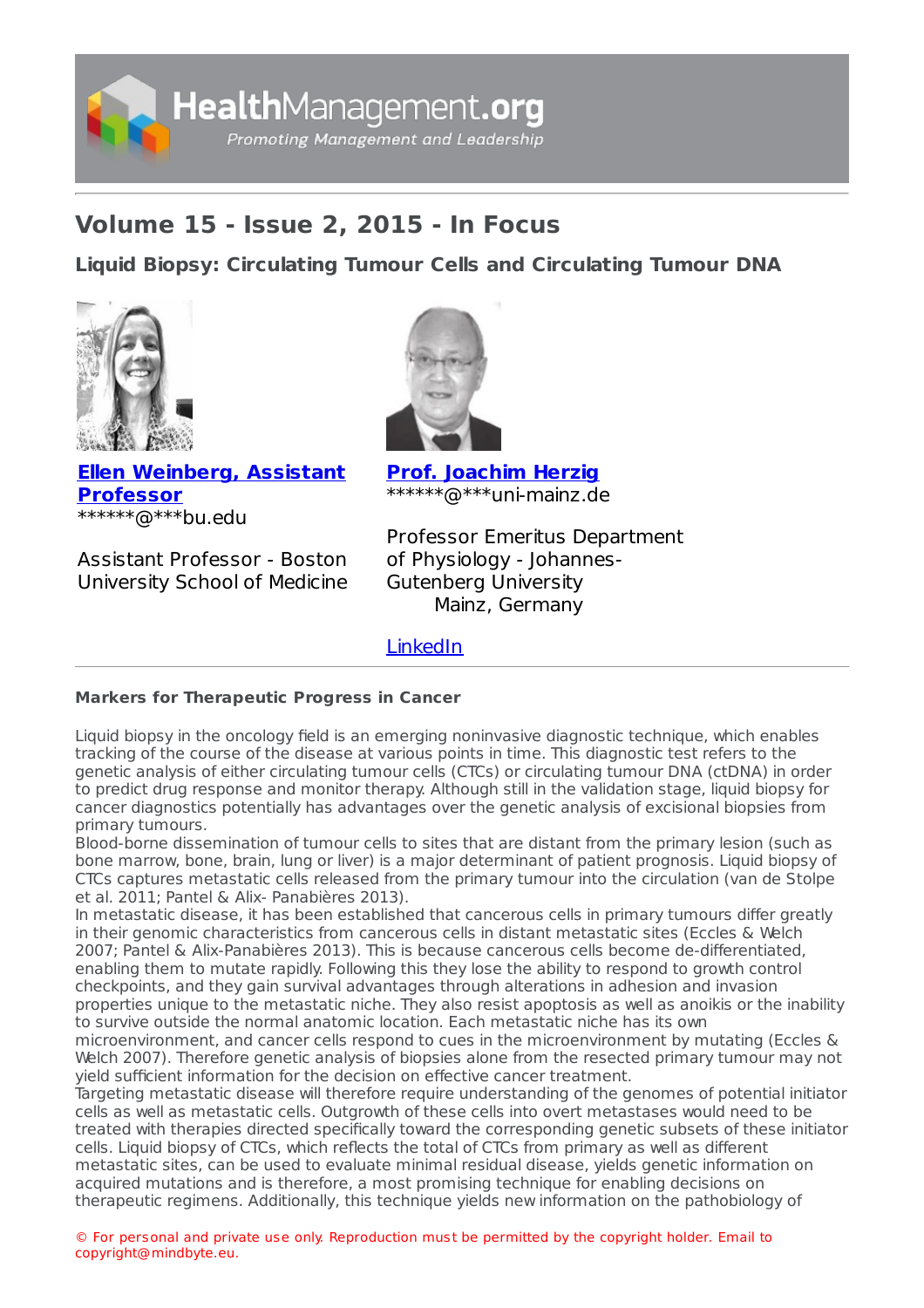

## **Volume 15 - Issue 2, 2015 - In Focus**

**Liquid Biopsy: [Circulating](https://healthmanagement.org/s/liquid-biopsy-circulating-tumour-cells-and-circulating-tumour-dna-1) Tumour Cells and Circulating Tumour DNA**





**Ellen [Weinberg,](https://healthmanagement.org/viewProfile/74424/Ellen_Weinberg) Assistant Professor** \*\*\*\*\*\*@\*\*\*bu.edu

Assistant Professor - Boston University School of Medicine **Prof. [Joachim](https://healthmanagement.org/viewProfile/74423/Joachim_Herzig) Herzig** \*\*\*\*\*\*@\*\*\*uni-mainz.de

Professor Emeritus Department of Physiology - Johannes-Gutenberg University Mainz, Germany

[LinkedIn](https://www.linkedin.com/in/joachim-herzig-4100aa53/)

## **Markers for Therapeutic Progress in Cancer**

Liquid biopsy in the oncology field is an emerging noninvasive diagnostic technique, which enables tracking of the course of the disease at various points in time. This diagnostic test refers to the genetic analysis of either circulating tumour cells (CTCs) or circulating tumour DNA (ctDNA) in order to predict drug response and monitor therapy. Although still in the validation stage, liquid biopsy for cancer diagnostics potentially has advantages over the genetic analysis of excisional biopsies from primary tumours.

Blood-borne dissemination of tumour cells to sites that are distant from the primary lesion (such as bone marrow, bone, brain, lung or liver) is a major determinant of patient prognosis. Liquid biopsy of CTCs captures metastatic cells released from the primary tumour into the circulation (van de Stolpe et al. 2011; Pantel & Alix- Panabières 2013).

In metastatic disease, it has been established that cancerous cells in primary tumours differ greatly in their genomic characteristics from cancerous cells in distant metastatic sites (Eccles & Welch 2007; Pantel & Alix-Panabières 2013). This is because cancerous cells become de-differentiated, enabling them to mutate rapidly. Following this they lose the ability to respond to growth control checkpoints, and they gain survival advantages through alterations in adhesion and invasion properties unique to the metastatic niche. They also resist apoptosis as well as anoikis or the inability to survive outside the normal anatomic location. Each metastatic niche has its own

microenvironment, and cancer cells respond to cues in the microenvironment by mutating (Eccles & Welch 2007). Therefore genetic analysis of biopsies alone from the resected primary tumour may not yield sufficient information for the decision on effective cancer treatment.

Targeting metastatic disease will therefore require understanding of the genomes of potential initiator cells as well as metastatic cells. Outgrowth of these cells into overt metastases would need to be treated with therapies directed specifically toward the corresponding genetic subsets of these initiator cells. Liquid biopsy of CTCs, which reflects the total of CTCs from primary as well as different metastatic sites, can be used to evaluate minimal residual disease, yields genetic information on acquired mutations and is therefore, a most promising technique for enabling decisions on therapeutic regimens. Additionally, this technique yields new information on the pathobiology of

© For personal and private use only. Reproduction must be permitted by the copyright holder. Email to copyright@mindbyte.eu.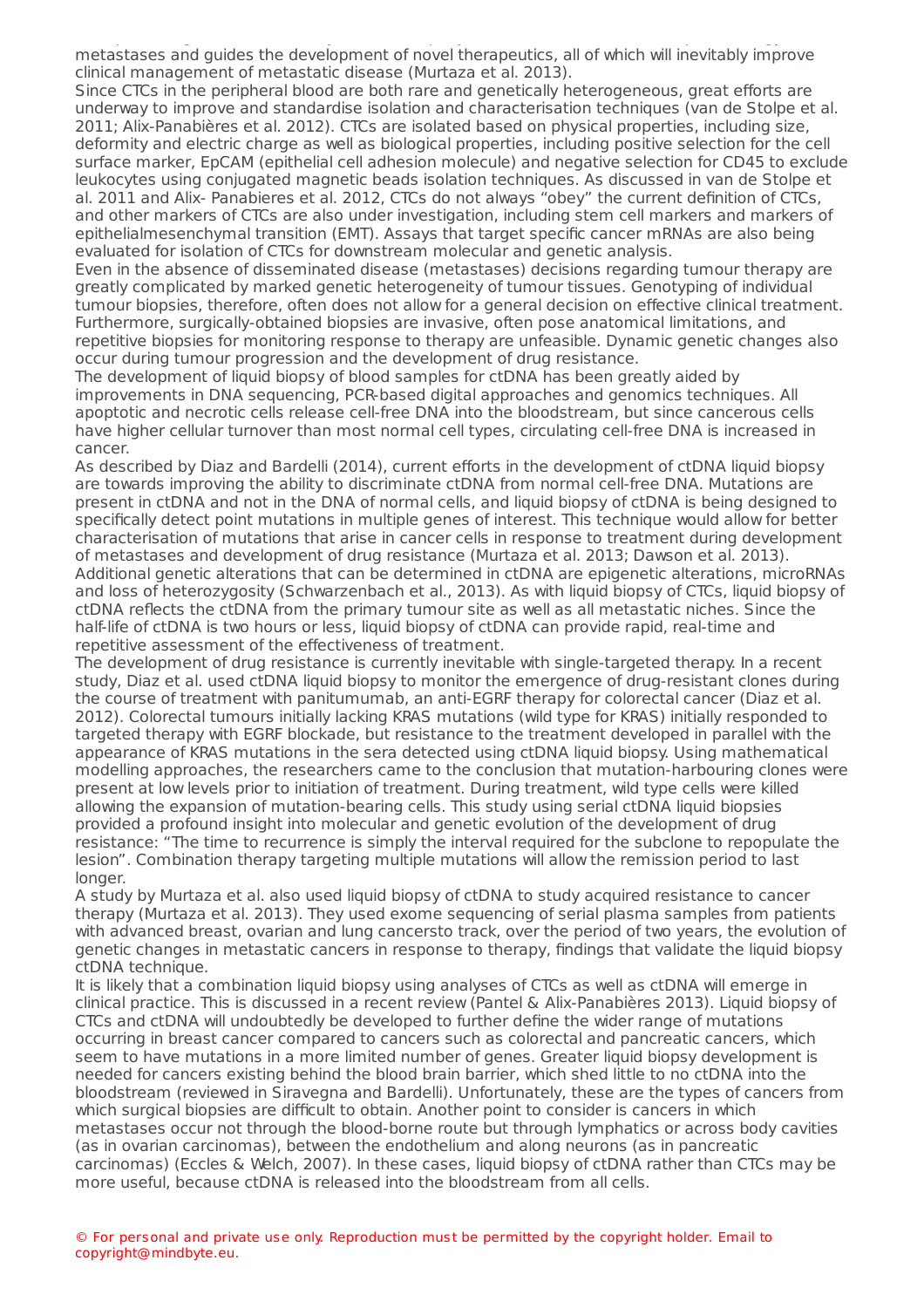therapeutic regimens. Additionally, this technique yields new information on the pathobiology of metastases and guides the development of novel therapeutics, all of which will inevitably improve clinical management of metastatic disease (Murtaza et al. 2013).

Since CTCs in the peripheral blood are both rare and genetically heterogeneous, great efforts are underway to improve and standardise isolation and characterisation techniques (van de Stolpe et al. 2011; Alix-Panabières et al. 2012). CTCs are isolated based on physical properties, including size, deformity and electric charge as well as biological properties, including positive selection for the cell surface marker, EpCAM (epithelial cell adhesion molecule) and negative selection for CD45 to exclude leukocytes using conjugated magnetic beads isolation techniques. As discussed in van de Stolpe et al. 2011 and Alix- Panabieres et al. 2012, CTCs do not always "obey" the current definition of CTCs, and other markers of CTCs are also under investigation, including stem cell markers and markers of epithelialmesenchymal transition (EMT). Assays that target specific cancer mRNAs are also being evaluated for isolation of CTCs for downstream molecular and genetic analysis.

Even in the absence of disseminated disease (metastases) decisions regarding tumour therapy are greatly complicated by marked genetic heterogeneity of tumour tissues. Genotyping of individual tumour biopsies, therefore, often does not allow for a general decision on effective clinical treatment. Furthermore, surgically-obtained biopsies are invasive, often pose anatomical limitations, and repetitive biopsies for monitoring response to therapy are unfeasible. Dynamic genetic changes also occur during tumour progression and the development of drug resistance.

The development of liquid biopsy of blood samples for ctDNA has been greatly aided by improvements in DNA sequencing, PCR-based digital approaches and genomics techniques. All apoptotic and necrotic cells release cell-free DNA into the bloodstream, but since cancerous cells have higher cellular turnover than most normal cell types, circulating cell-free DNA is increased in cancer.

As described by Diaz and Bardelli (2014), current efforts in the development of ctDNA liquid biopsy are towards improving the ability to discriminate ctDNA from normal cell-free DNA. Mutations are present in ctDNA and not in the DNA of normal cells, and liquid biopsy of ctDNA is being designed to specifically detect point mutations in multiple genes of interest. This technique would allow for better characterisation of mutations that arise in cancer cells in response to treatment during development of metastases and development of drug resistance (Murtaza et al. 2013; Dawson et al. 2013). Additional genetic alterations that can be determined in ctDNA are epigenetic alterations, microRNAs and loss of heterozygosity (Schwarzenbach et al., 2013). As with liquid biopsy of CTCs, liquid biopsy of ctDNA reflects the ctDNA from the primary tumour site as well as all metastatic niches. Since the half-life of ctDNA is two hours or less, liquid biopsy of ctDNA can provide rapid, real-time and repetitive assessment of the effectiveness of treatment.

The development of drug resistance is currently inevitable with single-targeted therapy. In a recent study, Diaz et al. used ctDNA liquid biopsy to monitor the emergence of drug-resistant clones during the course of treatment with panitumumab, an anti-EGRF therapy for colorectal cancer (Diaz et al. 2012). Colorectal tumours initially lacking KRAS mutations (wild type for KRAS) initially responded to targeted therapy with EGRF blockade, but resistance to the treatment developed in parallel with the appearance of KRAS mutations in the sera detected using ctDNA liquid biopsy. Using mathematical modelling approaches, the researchers came to the conclusion that mutation-harbouring clones were present at low levels prior to initiation of treatment. During treatment, wild type cells were killed allowing the expansion of mutation-bearing cells. This study using serial ctDNA liquid biopsies provided a profound insight into molecular and genetic evolution of the development of drug resistance: "The time to recurrence is simply the interval required for the subclone to repopulate the lesion". Combination therapy targeting multiple mutations will allow the remission period to last longer.

A study by Murtaza et al. also used liquid biopsy of ctDNA to study acquired resistance to cancer therapy (Murtaza et al. 2013). They used exome sequencing of serial plasma samples from patients with advanced breast, ovarian and lung cancersto track, over the period of two years, the evolution of genetic changes in metastatic cancers in response to therapy, findings that validate the liquid biopsy ctDNA technique.

It is likely that a combination liquid biopsy using analyses of CTCs as well as ctDNA will emerge in clinical practice. This is discussed in a recent review (Pantel & Alix-Panabières 2013). Liquid biopsy of CTCs and ctDNA will undoubtedly be developed to further define the wider range of mutations occurring in breast cancer compared to cancers such as colorectal and pancreatic cancers, which seem to have mutations in a more limited number of genes. Greater liquid biopsy development is needed for cancers existing behind the blood brain barrier, which shed little to no ctDNA into the bloodstream (reviewed in Siravegna and Bardelli). Unfortunately, these are the types of cancers from which surgical biopsies are difficult to obtain. Another point to consider is cancers in which metastases occur not through the blood-borne route but through lymphatics or across body cavities (as in ovarian carcinomas), between the endothelium and along neurons (as in pancreatic carcinomas) (Eccles & Welch, 2007). In these cases, liquid biopsy of ctDNA rather than CTCs may be more useful, because ctDNA is released into the bloodstream from all cells.